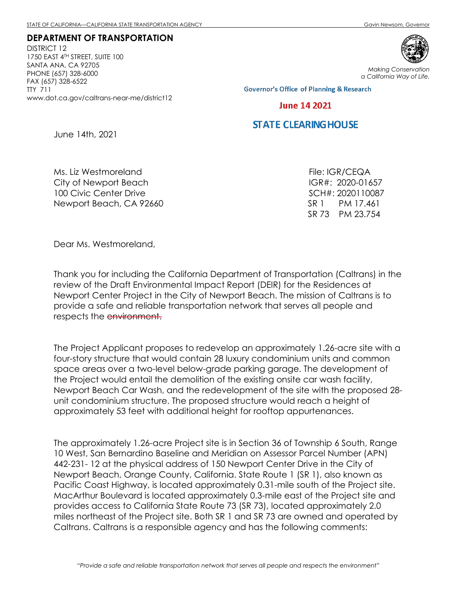DEPARTMENT OF TRANSPORTATION DISTRICT 12 1750 EAST 4TH STREET, SUITE 100 SANTA ANA, CA 92705 PHONE (657) 328-6000 FAX (657) 328-6522 TTY 711 www.dot.ca.gov/caltrans-near-me/district12



Making Conservation a California Way of Life.

**Governor's Office of Planning & Research** 

## **June 14 2021**

## **STATE CLEARING HOUSE**

June 14th, 2021

Ms. Liz Westmoreland City of Newport Beach 100 Civic Center Drive Newport Beach, CA 92660

File: IGR/CEQA IGR#: 2020-01657 SCH#: 2020110087 SR 1 PM 17.461 SR 73 PM 23.754

Dear Ms. Westmoreland,

Thank you for including the California Department of Transportation (Caltrans) in the review of the Draft Environmental Impact Report (DEIR) for the Residences at Newport Center Project in the City of Newport Beach. The mission of Caltrans is to provide a safe and reliable transportation network that serves all people and respects the environment.

The Project Applicant proposes to redevelop an approximately 1.26-acre site with a four-story structure that would contain 28 luxury condominium units and common space areas over a two-level below-grade parking garage. The development of the Project would entail the demolition of the existing onsite car wash facility, Newport Beach Car Wash, and the redevelopment of the site with the proposed 28 unit condominium structure. The proposed structure would reach a height of approximately 53 feet with additional height for rooftop appurtenances.

The approximately 1.26-acre Project site is in Section 36 of Township 6 South, Range 10 West, San Bernardino Baseline and Meridian on Assessor Parcel Number (APN) 442-231- 12 at the physical address of 150 Newport Center Drive in the City of Newport Beach, Orange County, California. State Route 1 (SR 1), also known as Pacific Coast Highway, is located approximately 0.31-mile south of the Project site. MacArthur Boulevard is located approximately 0.3-mile east of the Project site and provides access to California State Route 73 (SR 73), located approximately 2.0 miles northeast of the Project site. Both SR 1 and SR 73 are owned and operated by Caltrans. Caltrans is a responsible agency and has the following comments: